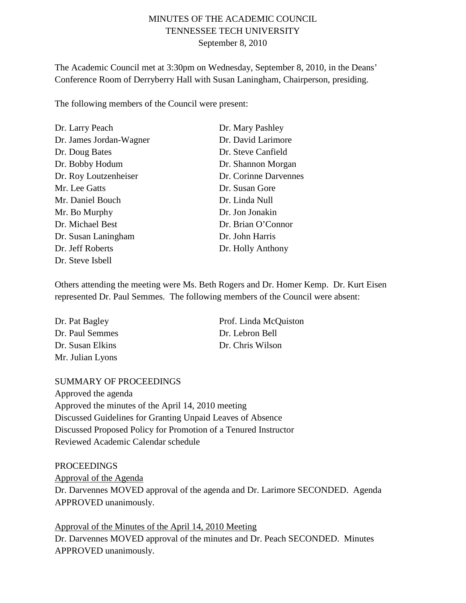# MINUTES OF THE ACADEMIC COUNCIL TENNESSEE TECH UNIVERSITY September 8, 2010

The Academic Council met at 3:30pm on Wednesday, September 8, 2010, in the Deans' Conference Room of Derryberry Hall with Susan Laningham, Chairperson, presiding.

The following members of the Council were present:

| Dr. Larry Peach         | Dr. Mary Pashley      |
|-------------------------|-----------------------|
| Dr. James Jordan-Wagner | Dr. David Larimore    |
| Dr. Doug Bates          | Dr. Steve Canfield    |
| Dr. Bobby Hodum         | Dr. Shannon Morgan    |
| Dr. Roy Loutzenheiser   | Dr. Corinne Darvennes |
| Mr. Lee Gatts           | Dr. Susan Gore        |
| Mr. Daniel Bouch        | Dr. Linda Null        |
| Mr. Bo Murphy           | Dr. Jon Jonakin       |
| Dr. Michael Best        | Dr. Brian O'Connor    |
| Dr. Susan Laningham     | Dr. John Harris       |
| Dr. Jeff Roberts        | Dr. Holly Anthony     |
| Dr. Steve Isbell        |                       |

Others attending the meeting were Ms. Beth Rogers and Dr. Homer Kemp. Dr. Kurt Eisen represented Dr. Paul Semmes. The following members of the Council were absent:

| Dr. Pat Bagley   | Prof. Linda McQuiston |
|------------------|-----------------------|
| Dr. Paul Semmes  | Dr. Lebron Bell       |
| Dr. Susan Elkins | Dr. Chris Wilson      |
| Mr. Julian Lyons |                       |

## SUMMARY OF PROCEEDINGS

Approved the agenda Approved the minutes of the April 14, 2010 meeting Discussed Guidelines for Granting Unpaid Leaves of Absence Discussed Proposed Policy for Promotion of a Tenured Instructor Reviewed Academic Calendar schedule

#### PROCEEDINGS

Dr. Darvennes MOVED approval of the agenda and Dr. Larimore SECONDED. Agenda APPROVED unanimously. Approval of the Agenda

Dr. Darvennes MOVED approval of the minutes and Dr. Peach SECONDED. Minutes APPROVED unanimously. Approval of the Minutes of the April 14, 2010 Meeting